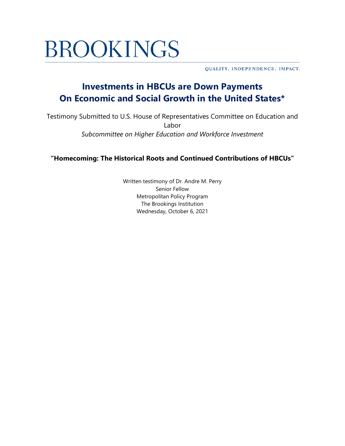# **BROOKINGS**

QUALITY. INDEPENDENCE. IMPACT.

## **Investments in HBCUs are Down Payments On Economic and Social Growth in the United States\***

Testimony Submitted to U.S. House of Representatives Committee on Education and Labor *Subcommittee on Higher Education and Workforce Investment*

**"Homecoming: The Historical Roots and Continued Contributions of HBCUs"**

Written testimony of Dr. Andre M. Perry Senior Fellow Metropolitan Policy Program The Brookings Institution Wednesday, October 6, 2021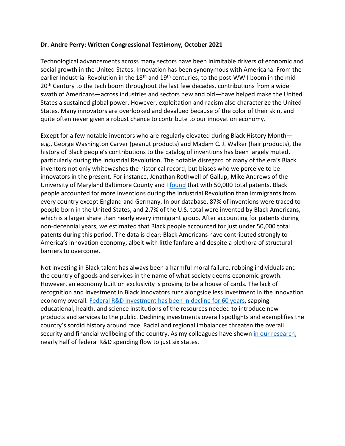#### **Dr. Andre Perry: Written Congressional Testimony, October 2021**

Technological advancements across many sectors have been inimitable drivers of economic and social growth in the United States. Innovation has been synonymous with Americana. From the earlier Industrial Revolution in the  $18<sup>th</sup>$  and  $19<sup>th</sup>$  centuries, to the post-WWII boom in the mid-20<sup>th</sup> Century to the tech boom throughout the last few decades, contributions from a wide swath of Americans—across industries and sectors new and old—have helped make the United States a sustained global power. However, exploitation and racism also characterize the United States. Many innovators are overlooked and devalued because of the color of their skin, and quite often never given a robust chance to contribute to our innovation economy.

Except for a few notable inventors who are regularly elevated during Black History Month e.g., George Washington Carver (peanut products) and Madam C. J. Walker (hair products), the history of Black people's contributions to the catalog of inventions has been largely muted, particularly during the Industrial Revolution. The notable disregard of many of the era's Black inventors not only whitewashes the historical record, but biases who we perceive to be innovators in the present. For instance, Jonathan Rothwell of Gallup, Mike Andrews of the University of Maryland Baltimore County and I [found](https://www.brookings.edu/research/the-black-innovators-who-elevated-the-united-states-reassessing-the-golden-age-of-invention/) that with 50,000 total patents, Black people accounted for more inventions during the Industrial Revolution than immigrants from every country except England and Germany. In our database, 87% of inventions were traced to people born in the United States, and 2.7% of the U.S. total were invented by Black Americans, which is a larger share than nearly every immigrant group. After accounting for patents during non-decennial years, we estimated that Black people accounted for just under 50,000 total patents during this period. The data is clear: Black Americans have contributed strongly to America's innovation economy, albeit with little fanfare and despite a plethora of structural barriers to overcome.

Not investing in Black talent has always been a harmful moral failure, robbing individuals and the country of goods and services in the name of what society deems economic growth. However, an economy built on exclusivity is proving to be a house of cards. The lack of recognition and investment in Black innovators runs alongside less investment in the innovation economy overall. [Federal R&D investment has been in decline for 60 years,](https://itif.org/publications/2019/08/12/federal-support-rd-continues-its-ignominious-slide) sapping educational, health, and science institutions of the resources needed to introduce new products and services to the public. Declining investments overall spotlights and exemplifies the country's sordid history around race. Racial and regional imbalances threaten the overall security and financial wellbeing of the country. As my colleagues have shown [in our research,](https://www.brookings.edu/blog/the-avenue/2021/08/11/congress-needs-to-prioritize-inclusion-in-our-slumping-innovation-system/) nearly half of federal R&D spending flow to just six states.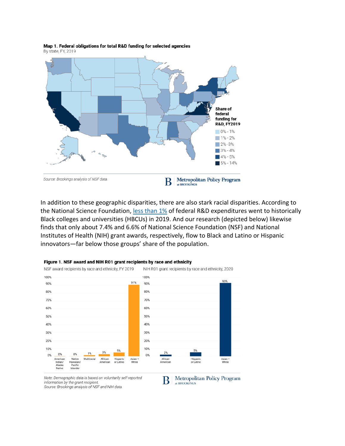

Map 1. Federal obligations for total R&D funding for selected agencies By state, FY, 2019

In addition to these geographic disparities, there are also stark racial disparities. According to the National Science Foundation, [less than 1%](https://ncses.nsf.gov/pubs/nsf21314#data-tables) of federal R&D expenditures went to historically Black colleges and universities (HBCUs) in 2019. And our research (depicted below) likewise finds that only about 7.4% and 6.6% of National Science Foundation (NSF) and National Institutes of Health (NIH) grant awards, respectively, flow to Black and Latino or Hispanic innovators—far below those groups' share of the population.



#### Figure 1. NSF award and NIH R01 grant recipients by race and ethnicity

Note: Demographic data is based on voluntarily self-reported information by the grant recipient. Source: Brookings analysis of NSF and NIH data.

**Metropolitan Policy Program** В at BROOKINGS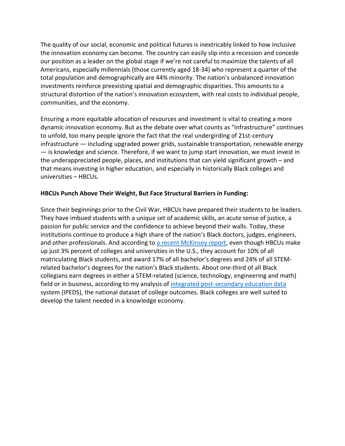The quality of our social, economic and political futures is inextricably linked to how inclusive the innovation economy can become. The country can easily slip into a recession and concede our position as a leader on the global stage if we're not careful to maximize the talents of all Americans, especially millennials (those currently aged 18-34) who represent a quarter of the total population and demographically are 44% minority. The nation's unbalanced innovation investments reinforce preexisting spatial and demographic disparities. This amounts to a structural distortion of the nation's innovation ecosystem, with real costs to individual people, communities, and the economy.

Ensuring a more equitable allocation of resources and investment is vital to creating a more dynamic innovation economy. But as the debate over what counts as "infrastructure" continues to unfold, too many people ignore the fact that the real undergirding of 21st-century infrastructure — including upgraded power grids, sustainable transportation, renewable energy — is knowledge and science. Therefore, if we want to jump start innovation, we must invest in the underappreciated people, places, and institutions that can yield significant growth – and that means investing in higher education, and especially in historically Black colleges and universities – HBCUs.

#### **HBCUs Punch Above Their Weight, But Face Structural Barriers in Funding:**

Since their beginnings prior to the Civil War, HBCUs have prepared their students to be leaders. They have imbued students with a unique set of academic skills, an acute sense of justice, a passion for public service and the confidence to achieve beyond their walls. Today, these institutions continue to produce a high share of the nation's Black doctors, judges, engineers, and other professionals. And according to [a recent McKinsey report,](https://www.mckinsey.com/industries/public-and-social-sector/our-insights/how-hbcus-can-accelerate-black-economic-mobility) even though HBCUs make up just 3% percent of colleges and universities in the U.S., they account for 10% of all matriculating Black students, and award 17% of all bachelor's degrees and 24% of all STEMrelated bachelor's degrees for the nation's Black students. About one-third of all Black collegians earn degrees in either a STEM-related (science, technology, engineering and math) field or in business, according to my analysis of [integrated post-secondary education data](https://nces.ed.gov/ipeds/) system (IPEDS), the national dataset of college outcomes. Black colleges are well suited to develop the talent needed in a knowledge economy.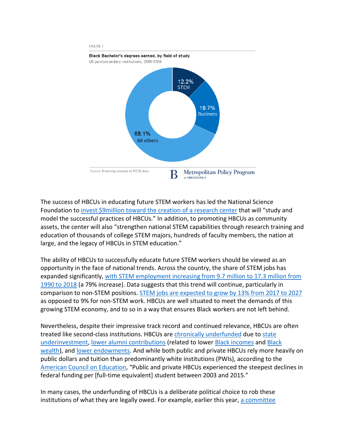

The success of HBCUs in educating future STEM workers has led the National Science Foundation to invest \$9million toward [the creation of a research center](https://www.nsf.gov/news/special_reports/announcements/081920.jsp) that will "study and model the successful practices of HBCUs." In addition, to promoting HBCUs as community assets, the center will also "strengthen national STEM capabilities through research training and education of thousands of college STEM majors, hundreds of faculty members, the nation at large, and the legacy of HBCUs in STEM education."

The ability of HBCUs to successfully educate future STEM workers should be viewed as an opportunity in the face of national trends. Across the country, the share of STEM jobs has expanded significantly, with STEM employment increasing from 9.7 million to 17.3 million from [1990 to 2018](https://www.pewresearch.org/fact-tank/2018/01/09/7-facts-about-the-stem-workforce/) (a 79% increase). Data suggests that this trend will continue, particularly in comparison to non-STEM positions. [STEM jobs are expected to grow by 13% from 2017 to 2027](http://vitalsigns.ecs.org/state/united-states/demand) as opposed to 9% for non-STEM work. HBCUs are well situated to meet the demands of this growing STEM economy, and to so in a way that ensures Black workers are not left behind.

Nevertheless, despite their impressive track record and continued relevance, HBCUs are often treated like second-class institutions. HBCUs are [chronically underfunded](https://www.cbsnews.com/news/hbcu-coppin-state-tennessee-state-federal-funding-howard-kamala-harris/) due to state [underinvestment,](https://www.insidehighered.com/quicktakes/2021/04/08/tennessee-state-owed-millions-state) [lower alumni contributions](https://www.blackenterprise.com/solution-to-the-hbcu-crisis-alumni-must-give-back/) (related to lower [Black incomes](https://www.epi.org/blog/racial-disparities-in-income-and-poverty-remain-largely-unchanged-amid-strong-income-growth-in-2019/) and [Black](https://news.harvard.edu/gazette/story/2021/06/racial-wealth-gap-may-be-a-key-to-other-inequities/)  [wealth\)](https://news.harvard.edu/gazette/story/2021/06/racial-wealth-gap-may-be-a-key-to-other-inequities/), and [lower endowments.](https://www.bloomberg.com/news/articles/2017-07-18/historically-black-colleges-try-to-catch-up-as-rich-schools-get-richer) And while both public and private HBCUs rely more heavily on public dollars and tuition than predominantly white institutions (PWIs), according to the [American Council on Education,](https://www.acenet.edu/Documents/Public-and-Private-Investments-and-Divestments-in-HBCUs.pdf) "Public and private HBCUs experienced the steepest declines in federal funding per [full-time equivalent] student between 2003 and 2015."

In many cases, the underfunding of HBCUs is a deliberate political choice to rob these institutions of what they are legally owed. For example, earlier this year, [a committee](https://www.npr.org/2021/05/13/996617532/behind-the-underfunding-of-hbcus)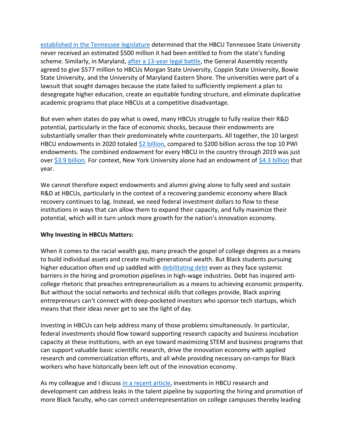[established in the Tennessee legislature](https://www.npr.org/2021/05/13/996617532/behind-the-underfunding-of-hbcus) determined that the HBCU Tennessee State University never received an estimated \$500 million it had been entitled to from the state's funding scheme. Similarly, in Maryland[, after a 13-year legal battle,](https://www.brookings.edu/blog/brown-center-chalkboard/2019/11/22/hbcus-are-leading-centers-of-education-why-are-they-treated-as-second-class-institutions/) the General Assembly recently agreed to give \$577 million to HBCUs Morgan State University, Coppin State University, Bowie State University, and the University of Maryland Eastern Shore. The universities were part of a lawsuit that sought damages because the state failed to sufficiently implement a plan to desegregate higher education, create an equitable funding structure, and eliminate duplicative academic programs that place HBCUs at a competitive disadvantage.

But even when states do pay what is owed, many HBCUs struggle to fully realize their R&D potential, particularly in the face of economic shocks, because their endowments are substantially smaller than their predominately white counterparts. All together, the 10 largest HBCU endowments in 2020 totaled [\\$2 billion,](https://hbcumoney.com/2021/03/) compared to \$200 billion across the top 10 PWI endowments. The combined endowment for every HBCU in the country through 2019 was just over [\\$3.9 billion.](https://chicago.suntimes.com/education/2021/7/14/22577327/hbcus-howard-university-black-colleges-struggling) For context, New York University alone had an endowment of [\\$4.3 billion](https://www.nyu.edu/content/dam/nyu/investmentOffice/documents/2019-08-31%20NYU%20Endowment%20Fact%20Sheet%20-%20FINAL.pdf) that year.

We cannot therefore expect endowments and alumni giving alone to fully seed and sustain R&D at HBCUs, particularly in the context of a recovering pandemic economy where Black recovery continues to lag. Instead, we need federal investment dollars to flow to these institutions in ways that can allow them to expand their capacity, and fully maximize their potential, which will in turn unlock more growth for the nation's innovation economy.

#### **Why Investing in HBCUs Matters:**

When it comes to the racial wealth gap, many preach the gospel of college degrees as a means to build individual assets and create multi-generational wealth. But Black students pursuing higher education often end up saddled with [debilitating debt](https://www.brookings.edu/essay/student-debt-cancellation-should-consider-wealth-not-income/) even as they face systemic barriers in the hiring and promotion pipelines in high-wage industries. Debt has inspired anticollege rhetoric that preaches entrepreneurialism as a means to achieving economic prosperity. But without the social networks and technical skills that colleges provide, Black aspiring entrepreneurs can't connect with deep-pocketed investors who sponsor tech startups, which means that their ideas never get to see the light of day.

Investing in HBCUs can help address many of those problems simultaneously. In particular, federal investments should flow toward supporting research capacity and business incubation capacity at these institutions, with an eye toward maximizing STEM and business programs that can support valuable basic scientific research, drive the innovation economy with applied research and commercialization efforts, and all while providing necessary on-ramps for Black workers who have historically been left out of the innovation economy.

As my colleague and I discuss [in a recent article,](https://www.brookings.edu/blog/the-avenue/2021/08/04/underfunding-hbcus-leads-to-an-underrepresentation-of-black-faculty/) investments in HBCU research and development can address leaks in the talent pipeline by supporting the hiring and promotion of more Black faculty, who can correct underrepresentation on college campuses thereby leading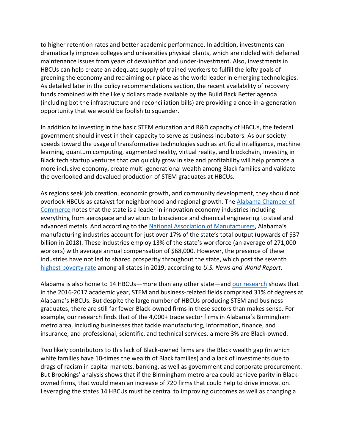to higher retention rates and better academic performance. In addition, investments can dramatically improve colleges and universities physical plants, which are riddled with deferred maintenance issues from years of devaluation and under-investment. Also, investments in HBCUs can help create an adequate supply of trained workers to fulfill the lofty goals of greening the economy and reclaiming our place as the world leader in emerging technologies. As detailed later in the policy recommendations section, the recent availability of recovery funds combined with the likely dollars made available by the Build Back Better agenda (including bot the infrastructure and reconciliation bills) are providing a once-in-a-generation opportunity that we would be foolish to squander.

In addition to investing in the basic STEM education and R&D capacity of HBCUs, the federal government should invest in their capacity to serve as business incubators. As our society speeds toward the usage of transformative technologies such as artificial intelligence, machine learning, quantum computing, augmented reality, virtual reality, and blockchain, investing in Black tech startup ventures that can quickly grow in size and profitability will help promote a more inclusive economy, create multi-generational wealth among Black families and validate the overlooked and devalued production of STEM graduates at HBCUs.

As regions seek job creation, economic growth, and community development, they should not overlook HBCUs as catalyst for neighborhood and regional growth. The [Alabama Chamber of](https://www.madeinalabama.com/industries/)  [Commerce](https://www.madeinalabama.com/industries/) notes that the state is a leader in innovation economy industries including everything from aerospace and aviation to bioscience and chemical engineering to steel and advanced metals. And according to the [National Association of Manufacturers](https://www.nam.org/state-manufacturing-data/2020-alabama-manufacturing-facts/#:~:text=Total%20output%20from%20manufacturing%20was,compensation%20of%20%2468%2C240.38%20in%202018.), Alabama's manufacturing industries account for just over 17% of the state's total output (upwards of \$37 billion in 2018). These industries employ 13% of the state's workforce (an average of 271,000 workers) with average annual compensation of \$68,000. However, the presence of these industries have not led to shared prosperity throughout the state, which post the seventh [highest poverty rate](https://www.usnews.com/news/best-states/slideshows/us-states-with-the-highest-poverty-rates) among all states in 2019, according to *U.S. News and World Report*.

Alabama is also home to 14 HBCUs—more than any other state—and [our research](https://www.brookings.edu/blog/the-avenue/2019/07/16/stem-talent-exists-in-the-south-but-investment-is-appallingly-lacking/) shows that in the 2016-2017 academic year, STEM and business-related fields comprised 31% of degrees at Alabama's HBCUs. But despite the large number of HBCUs producing STEM and business graduates, there are still far fewer Black-owned firms in these sectors than makes sense. For example, our research finds that of the 4,000+ trade sector firms in Alabama's Birmingham metro area, including businesses that tackle manufacturing, information, finance, and insurance, and professional, scientific, and technical services, a mere 3% are Black-owned.

Two likely contributors to this lack of Black-owned firms are the Black wealth gap (in which white families have 10-times the wealth of Black families) and a lack of investments due to drags of racism in capital markets, banking, as well as government and corporate procurement. But Brookings' analysis shows that if the Birmingham metro area could achieve parity in Blackowned firms, that would mean an increase of 720 firms that could help to drive innovation. Leveraging the states 14 HBCUs must be central to improving outcomes as well as changing a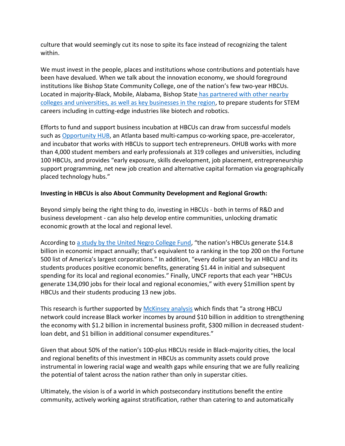culture that would seemingly cut its nose to spite its face instead of recognizing the talent within.

We must invest in the people, places and institutions whose contributions and potentials have been have devalued. When we talk about the innovation economy, we should foreground institutions like Bishop State Community College, one of the nation's few two-year HBCUs. Located in majority-Black, Mobile, Alabama, Bishop State [has partnered with other nearby](https://www.brookings.edu/research/why-local-leaders-in-mobile-alabama-must-address-racial-equity-in-the-manufacturing-sector/)  [colleges and universities, as well as key businesses in the region,](https://www.brookings.edu/research/why-local-leaders-in-mobile-alabama-must-address-racial-equity-in-the-manufacturing-sector/) to prepare students for STEM careers including in cutting-edge industries like biotech and robotics.

Efforts to fund and support business incubation at HBCUs can draw from successful models such as [Opportunity HUB,](https://opportunityhub.co/) an Atlanta based multi-campus co-working space, pre-accelerator, and incubator that works with HBCUs to support tech entrepreneurs. OHUB works with more than 4,000 student members and early professionals at 319 colleges and universities, including 100 HBCUs, and provides "early exposure, skills development, job placement, entrepreneurship support programming, net new job creation and alternative capital formation via geographically placed technology hubs."

### **Investing in HBCUs is also About Community Development and Regional Growth:**

Beyond simply being the right thing to do, investing in HBCUs - both in terms of R&D and business development - can also help develop entire communities, unlocking dramatic economic growth at the local and regional level.

According to [a study by the United Negro College Fund](https://cdn.uncf.org/wp-content/uploads/HBCU_FactSht_National_7-17B1.pdf?_ga=2.94913308.1845017779.1632853915-2111019105.1632853915), "the nation's HBCUs generate \$14.8 billion in economic impact annually; that's equivalent to a ranking in the top 200 on the Fortune 500 list of America's largest corporations." In addition, "every dollar spent by an HBCU and its students produces positive economic benefits, generating \$1.44 in initial and subsequent spending for its local and regional economies." Finally, UNCF reports that each year "HBCUs generate 134,090 jobs for their local and regional economies," with every \$1million spent by HBCUs and their students producing 13 new jobs.

This research is further supported by [McKinsey analysis](https://www.mckinsey.com/industries/public-and-social-sector/our-insights/how-hbcus-can-accelerate-black-economic-mobility) which finds that "a strong HBCU network could increase Black worker incomes by around \$10 billion in addition to strengthening the economy with \$1.2 billion in incremental business profit, \$300 million in decreased studentloan debt, and \$1 billion in additional consumer expenditures."

Given that about 50% of the nation's 100-plus HBCUs reside in Black-majority cities, the local and regional benefits of this investment in HBCUs as community assets could prove instrumental in lowering racial wage and wealth gaps while ensuring that we are fully realizing the potential of talent across the nation rather than only in superstar cities.

Ultimately, the vision is of a world in which postsecondary institutions benefit the entire community, actively working against stratification, rather than catering to and automatically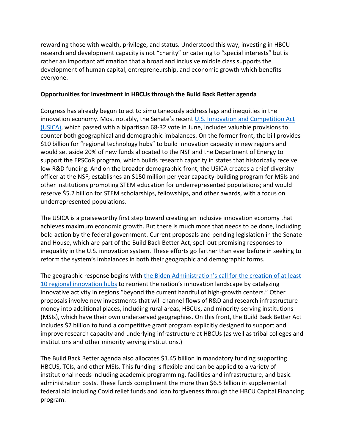rewarding those with wealth, privilege, and status. Understood this way, investing in HBCU research and development capacity is not "charity" or catering to "special interests" but is rather an important affirmation that a broad and inclusive middle class supports the development of human capital, entrepreneurship, and economic growth which benefits everyone.

#### **Opportunities for investment in HBCUs through the Build Back Better agenda**

Congress has already begun to act to simultaneously address lags and inequities in the innovation economy. Most notably, the Senate's recent U.S. Innovation and Competition Act [\(USICA\),](https://www.congress.gov/bill/117th-congress/senate-bill/1260/text) which passed with a bipartisan 68-32 vote in June, includes valuable provisions to counter both geographical and demographic imbalances. On the former front, the bill provides \$10 billion for "regional technology hubs" to build innovation capacity in new regions and would set aside 20% of new funds allocated to the NSF and the Department of Energy to support the EPSCoR program, which builds research capacity in states that historically receive low R&D funding. And on the broader demographic front, the USICA creates a chief diversity officer at the NSF; establishes an \$150 million per year capacity-building program for MSIs and other institutions promoting STEM education for underrepresented populations; and would reserve \$5.2 billion for STEM scholarships, fellowships, and other awards, with a focus on underrepresented populations.

The USICA is a praiseworthy first step toward creating an inclusive innovation economy that achieves maximum economic growth. But there is much more that needs to be done, including bold action by the federal government. Current proposals and pending legislation in the Senate and House, which are part of the Build Back Better Act, spell out promising responses to inequality in the U.S. innovation system. These efforts go farther than ever before in seeking to reform the system's imbalances in both their geographic and demographic forms.

The geographic response begins with the Biden Administration's [call for the creation of at least](https://www.whitehouse.gov/wp-content/uploads/2021/04/AJP-Racial-Equity-Fact-Sheet-FINAL.pdf)  [10 regional innovation hubs](https://www.whitehouse.gov/wp-content/uploads/2021/04/AJP-Racial-Equity-Fact-Sheet-FINAL.pdf) to reorient the nation's innovation landscape by catalyzing innovative activity in regions "beyond the current handful of high-growth centers." Other proposals involve new investments that will channel flows of R&D and research infrastructure money into additional places, including rural areas, HBCUs, and minority-serving institutions (MSIs), which have their own underserved geographies. On this front, the Build Back Better Act includes \$2 billion to fund a competitive grant program explicitly designed to support and improve research capacity and underlying infrastructure at HBCUs (as well as tribal colleges and institutions and other minority serving institutions.)

The Build Back Better agenda also allocates \$1.45 billion in mandatory funding supporting HBCUS, TCIs, and other MSIs. This funding is flexible and can be applied to a variety of institutional needs including academic programming, facilities and infrastructure, and basic administration costs. These funds compliment the more than \$6.5 billion in supplemental federal aid including Covid relief funds and loan forgiveness through the HBCU Capital Financing program.